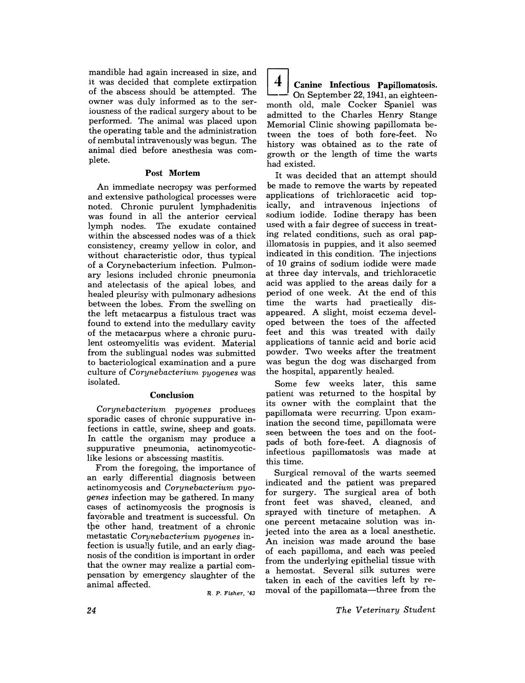mandible had again increased in size, and it was decided that complete extirpation of the abscess should be attempted. The owner was duly informed as to the seriousness of the radical surgery about to be performed. The animal was placed upon the operating table and the administration of nembutal intravenously was begun. The animal died before anesthesia was complete.

## Post Mortem

An immediate necropsy was performed and extensive pathological processes were noted. Chronic purulent lymphadenitis was found in all the anterior cervical lymph nodes. The exudate contained within the abscessed nodes was of a thick consistency, creamy yellow in color, and without characteristic odor, thus typical of a Corynebacterium infection. Pulmonary lesions included chronic pneumonia and atelectasis of the apical lobes, and healed pleurisy with pulmonary adhesions between the lobes. From the swelling on the left metacarpus a fistulous tract was found to extend into the medullary cavity of the metacarpus where a chronic purulent osteomyelitis was evident. Material from the sublingual nodes was submitted to bacteriological examination and a pure culture of *Corynebacterium pyogenes* was isolated.

## Conclusion

*Corynebacterium pyogenes* produces sporadic cases of chronic suppurative infections in cattle, swine, sheep and goats. In cattle the organism may produce a suppurative pneumonia, actinomycoticlike lesions or abscessing mastitis.

From the foregoing, the importance of an early differential diagnosis between actinomycosis and *Corynebacterium pyogenes* infection may be gathered. In many cases of actinomycosis the prognosis is favorable and treatment is successful. On the other hand, treatment of a chronic metastatic *Corynebacterium pyogenes* infection is usually futile, and an early diagnosis of the condition is important in order that the owner may realize a partial compensation by emergency slaughter of the animal affected.

 $R. P. Fisher.$ '43

 $\vert 4 \vert$  Canine Infectious Papillomatosis. On September 22, 1941, an eighteenmonth old, male Cocker Spaniel was admitted to the Charles Henry Stange Memorial Clinic showing papillomata between the toes of both fore-feet. No history was obtained as to the rate of growth or the length of time the warts had existed.

It was decided that an attempt should be made to remove the warts by repeated applications of trichloracetic acid topically, and intravenous injections of sodium iodide. Iodine therapy has been used with a fair degree of success in treating related conditions, such as oral pap· illomatosis in puppies, and it also seemed indicated in this condition. The injections of 10 grains of sodium iodide were made at three day intervals, and trichloracetic acid was applied to the areas daily for a period of one week. At the end of this time the warts had practically disappeared. A slight, moist eczema developed between the toes of the affected feet and this was treated with daily applications of tannic acid and boric acid powder. Two weeks after the treatment was begun the dog was discharged from the hospital, apparently healed.

Some few weeks later, this same patient was returned to the hospital by its owner with the complaint that the papillomata were recurring. Upon examination the second time, papillomata were seen between the toes and on the footpads of both fore-feet. A diagnosis of infectious papillomatosis was made at this time.

Surgical removal of the warts seemed indicated and the patient was prepared for surgery. The surgical area of both front feet was shaved, cleaned, and sprayed with tincture of metaphen. A one percent metacaine solution was injected into the area as a local anesthetic. An incision was made around the base of each papilloma, and each was peeled from the underlying epithelial tissue with a hemostat. Several silk sutures were taken in each of the cavities left by removal of the papillomata—three from the

*The Veterinary Student*